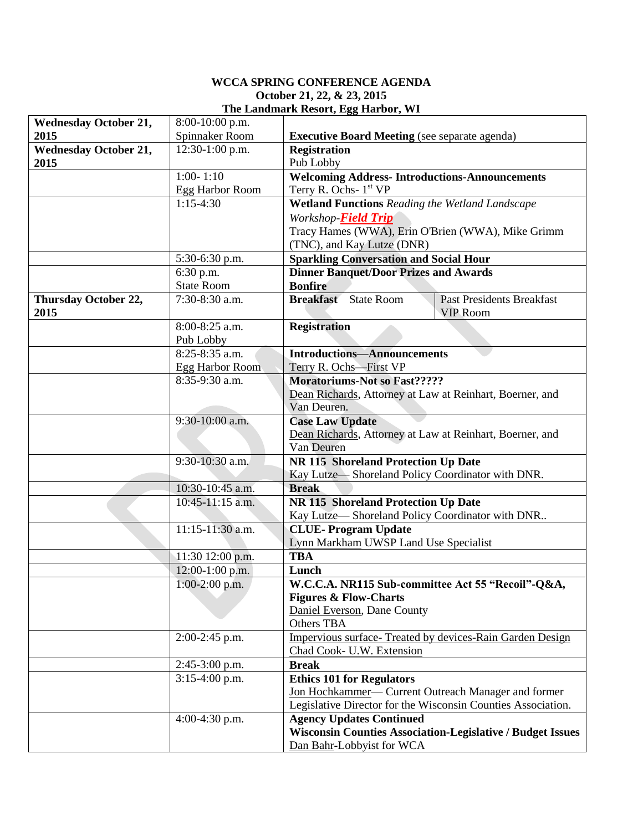## **WCCA SPRING CONFERENCE AGENDA October 21, 22, & 23, 2015 The Landmark Resort, Egg Harbor, WI**

| <b>Wednesday October 21,</b> | 8:00-10:00 p.m.   |                                                                                         |  |  |
|------------------------------|-------------------|-----------------------------------------------------------------------------------------|--|--|
| 2015                         | Spinnaker Room    | <b>Executive Board Meeting</b> (see separate agenda)                                    |  |  |
| <b>Wednesday October 21,</b> | 12:30-1:00 p.m.   | <b>Registration</b>                                                                     |  |  |
| 2015                         |                   | Pub Lobby                                                                               |  |  |
|                              | $1:00 - 1:10$     | <b>Welcoming Address-Introductions-Announcements</b>                                    |  |  |
|                              | Egg Harbor Room   | Terry R. Ochs- 1 <sup>st</sup> VP                                                       |  |  |
|                              | $1:15-4:30$       | Wetland Functions Reading the Wetland Landscape                                         |  |  |
|                              |                   | Workshop- <b>Field Trip</b>                                                             |  |  |
|                              |                   | Tracy Hames (WWA), Erin O'Brien (WWA), Mike Grimm                                       |  |  |
|                              |                   | (TNC), and Kay Lutze (DNR)                                                              |  |  |
|                              | 5:30-6:30 p.m.    | <b>Sparkling Conversation and Social Hour</b>                                           |  |  |
|                              | 6:30 p.m.         | <b>Dinner Banquet/Door Prizes and Awards</b>                                            |  |  |
|                              | <b>State Room</b> | <b>Bonfire</b>                                                                          |  |  |
| Thursday October 22,<br>2015 | 7:30-8:30 a.m.    | <b>Breakfast</b> State Room<br><b>Past Presidents Breakfast</b><br><b>VIP Room</b>      |  |  |
|                              | 8:00-8:25 a.m.    | <b>Registration</b>                                                                     |  |  |
|                              | Pub Lobby         |                                                                                         |  |  |
|                              | 8:25-8:35 a.m.    | <b>Introductions-Announcements</b>                                                      |  |  |
|                              | Egg Harbor Room   | Terry R. Ochs-First VP                                                                  |  |  |
|                              | 8:35-9:30 a.m.    | <b>Moratoriums-Not so Fast?????</b>                                                     |  |  |
|                              |                   | Dean Richards, Attorney at Law at Reinhart, Boerner, and                                |  |  |
|                              |                   | Van Deuren.                                                                             |  |  |
|                              | $9:30-10:00$ a.m. | <b>Case Law Update</b>                                                                  |  |  |
|                              |                   | Dean Richards, Attorney at Law at Reinhart, Boerner, and                                |  |  |
|                              | 9:30-10:30 a.m.   | Van Deuren                                                                              |  |  |
|                              |                   | NR 115 Shoreland Protection Up Date<br>Kay Lutze-Shoreland Policy Coordinator with DNR. |  |  |
|                              | 10:30-10:45 a.m.  | <b>Break</b>                                                                            |  |  |
|                              | 10:45-11:15 a.m.  | <b>NR 115 Shoreland Protection Up Date</b>                                              |  |  |
|                              |                   | Kay Lutze-Shoreland Policy Coordinator with DNR                                         |  |  |
|                              | 11:15-11:30 a.m.  | <b>CLUE-Program Update</b>                                                              |  |  |
|                              |                   | Lynn Markham UWSP Land Use Specialist                                                   |  |  |
|                              | 11:30 12:00 p.m.  | <b>TBA</b>                                                                              |  |  |
|                              | 12:00-1:00 p.m.   | Lunch                                                                                   |  |  |
|                              | $1:00-2:00$ p.m.  | W.C.C.A. NR115 Sub-committee Act 55 "Recoil"-Q&A,                                       |  |  |
|                              |                   | <b>Figures &amp; Flow-Charts</b>                                                        |  |  |
|                              |                   | Daniel Everson, Dane County                                                             |  |  |
|                              |                   | Others TBA                                                                              |  |  |
|                              | 2:00-2:45 p.m.    | Impervious surface- Treated by devices-Rain Garden Design                               |  |  |
|                              |                   | Chad Cook- U.W. Extension                                                               |  |  |
|                              | 2:45-3:00 p.m.    | <b>Break</b>                                                                            |  |  |
|                              | $3:15-4:00$ p.m.  | <b>Ethics 101 for Regulators</b>                                                        |  |  |
|                              |                   | Jon Hochkammer- Current Outreach Manager and former                                     |  |  |
|                              |                   | Legislative Director for the Wisconsin Counties Association.                            |  |  |
|                              | 4:00-4:30 p.m.    | <b>Agency Updates Continued</b>                                                         |  |  |
|                              |                   | <b>Wisconsin Counties Association-Legislative / Budget Issues</b>                       |  |  |
|                              |                   | Dan Bahr-Lobbyist for WCA                                                               |  |  |